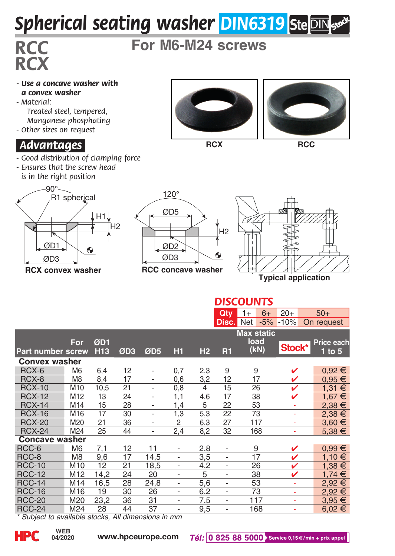## *Spherical seating washer DIN6319*

## *RCX*

*RCC* **For M6-M24 screws**

- *Use a concave washer with a convex washer*
- *Material: Treated steel, tempered, Manganese phosphating*
- *Other sizes on request*

## *.Advantages.*

- *Good distribution of clamping force*
- *Ensures that the screw head is in the right position*



**RCX convex washer**





**RCX RCC**





**Max static load (kN) For ØD1 Price each Part number screw H13 ØD3 ØD5 H1 H2 R1 1 to 5 Convex washer**<br>RCX-6 M6 RCX-6 M6 6,4 12 - 0,7 2,3 9 9  $\vee$  0,92  $\in$ RCX-8 M8 8,4 17 - 0,6 3,2 12 17  $\checkmark$  0,95  $\in$ RCX-10 M10 10,5 21 - 0,8 4 15 26 V 1,31 € RCX-12 M12 13 24 - 1,1 4,6 17 38 **/** 1,67 € RCX-14 M14 15 28 - 1,4 5 22 53 - 2,38 <del>€</del> RCX-16 M16 17 30 - 1,3 5,3 22 73 - 2,38 € RCX-20 M20 21 36 - 2 6,3 27 117 - 3,60 € RCX-24 M24 25 44 - 2,4 8,2 32 168 - 5,38 <del>€</del> **Concave washer**<br>RCC-6 M6 RCC-6 M6 7,1 12 11 - 2,8 - 9  $\checkmark$  0,99  $\in$ RCC-8 M8 9,6 17 14,5 - 3,5 - 17 **/** 1,10 € RCC-10 M10 12 21 18,5 - 4,2 - 26  $\times$  1,38  $\in$ RCC-12 M12 14,2 24 20 - 5 - 38  $\checkmark$  1,74  $\in$ RCC-14 M14 16,5 28 24,8 - 5,6 - 53 - 2,92 € RCC-16 M16 19 30 26 - 6,2 - 73 - 2,92 € RCC-20 M20 23,2 36 31 - 7,5 - 117 - 3,95 € RCC-24 M24 28 44 37 - 9,5 - 168 - 6,02 € *DISCOUNTS* **Qty** 1+ 6+ 20+ 50+<br>**Disc.** Net -5% -10% On request **Disc.** Net -5% -10% **Stock\***

*\* Subject to available stocks, All dimensions in mm*



**04/2020**